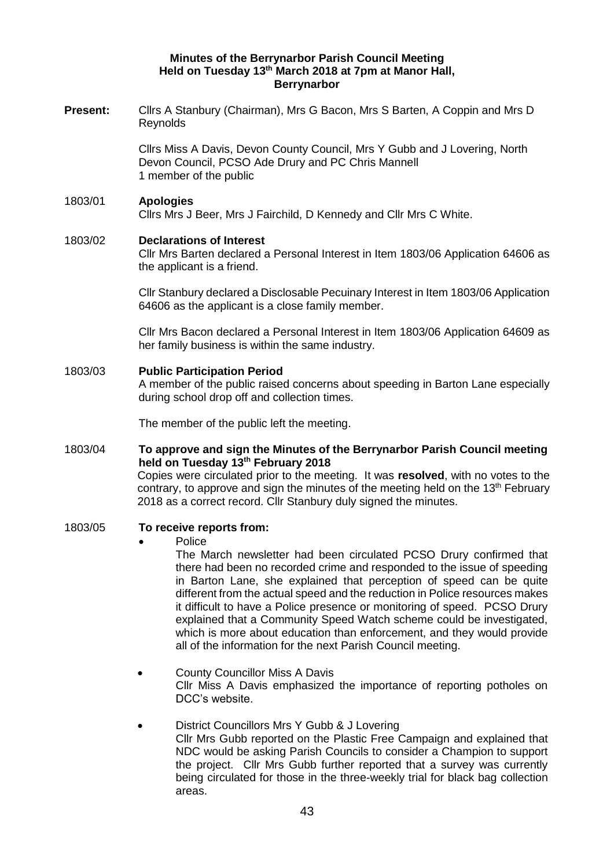# **Minutes of the Berrynarbor Parish Council Meeting Held on Tuesday 13th March 2018 at 7pm at Manor Hall, Berrynarbor**

**Present:** Cllrs A Stanbury (Chairman), Mrs G Bacon, Mrs S Barten, A Coppin and Mrs D Reynolds

> Cllrs Miss A Davis, Devon County Council, Mrs Y Gubb and J Lovering, North Devon Council, PCSO Ade Drury and PC Chris Mannell 1 member of the public

### 1803/01 **Apologies**  Cllrs Mrs J Beer, Mrs J Fairchild, D Kennedy and Cllr Mrs C White.

### 1803/02 **Declarations of Interest**

Cllr Mrs Barten declared a Personal Interest in Item 1803/06 Application 64606 as the applicant is a friend.

Cllr Stanbury declared a Disclosable Pecuinary Interest in Item 1803/06 Application 64606 as the applicant is a close family member.

Cllr Mrs Bacon declared a Personal Interest in Item 1803/06 Application 64609 as her family business is within the same industry.

# 1803/03 **Public Participation Period**

A member of the public raised concerns about speeding in Barton Lane especially during school drop off and collection times.

The member of the public left the meeting.

# 1803/04 **To approve and sign the Minutes of the Berrynarbor Parish Council meeting held on Tuesday 13th February 2018**

Copies were circulated prior to the meeting. It was **resolved**, with no votes to the contrary, to approve and sign the minutes of the meeting held on the  $13<sup>th</sup>$  February 2018 as a correct record. Cllr Stanbury duly signed the minutes.

### 1803/05 **To receive reports from:**

### • Police

The March newsletter had been circulated PCSO Drury confirmed that there had been no recorded crime and responded to the issue of speeding in Barton Lane, she explained that perception of speed can be quite different from the actual speed and the reduction in Police resources makes it difficult to have a Police presence or monitoring of speed. PCSO Drury explained that a Community Speed Watch scheme could be investigated, which is more about education than enforcement, and they would provide all of the information for the next Parish Council meeting.

- County Councillor Miss A Davis Cllr Miss A Davis emphasized the importance of reporting potholes on DCC's website.
- District Councillors Mrs Y Gubb & J Lovering Cllr Mrs Gubb reported on the Plastic Free Campaign and explained that NDC would be asking Parish Councils to consider a Champion to support the project. Cllr Mrs Gubb further reported that a survey was currently being circulated for those in the three-weekly trial for black bag collection areas.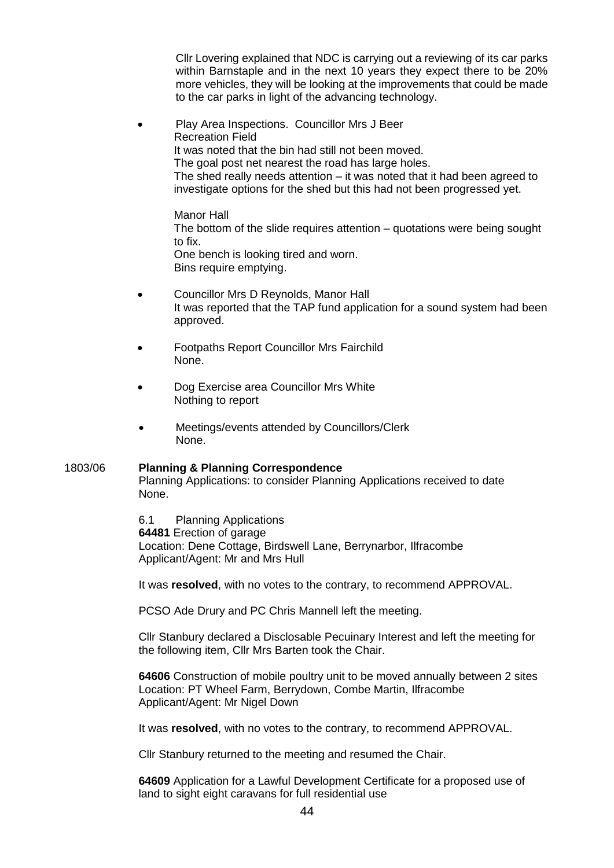Cllr Lovering explained that NDC is carrying out a reviewing of its car parks within Barnstaple and in the next 10 years they expect there to be 20% more vehicles, they will be looking at the improvements that could be made to the car parks in light of the advancing technology.

• Play Area Inspections. Councillor Mrs J Beer Recreation Field It was noted that the bin had still not been moved. The goal post net nearest the road has large holes. The shed really needs attention – it was noted that it had been agreed to investigate options for the shed but this had not been progressed yet.

Manor Hall The bottom of the slide requires attention – quotations were being sought to fix. One bench is looking tired and worn. Bins require emptying.

- Councillor Mrs D Reynolds, Manor Hall It was reported that the TAP fund application for a sound system had been approved.
- Footpaths Report Councillor Mrs Fairchild None.
- Dog Exercise area Councillor Mrs White Nothing to report
- Meetings/events attended by Councillors/Clerk None.

#### 1803/06 **Planning & Planning Correspondence**  Planning Applications: to consider Planning Applications received to date

None.

6.1 Planning Applications **64481** Erection of garage Location: Dene Cottage, Birdswell Lane, Berrynarbor, Ilfracombe Applicant/Agent: Mr and Mrs Hull

It was **resolved**, with no votes to the contrary, to recommend APPROVAL.

PCSO Ade Drury and PC Chris Mannell left the meeting.

Cllr Stanbury declared a Disclosable Pecuinary Interest and left the meeting for the following item, Cllr Mrs Barten took the Chair.

**64606** Construction of mobile poultry unit to be moved annually between 2 sites Location: PT Wheel Farm, Berrydown, Combe Martin, Ilfracombe Applicant/Agent: Mr Nigel Down

It was **resolved**, with no votes to the contrary, to recommend APPROVAL.

Cllr Stanbury returned to the meeting and resumed the Chair.

**64609** Application for a Lawful Development Certificate for a proposed use of land to sight eight caravans for full residential use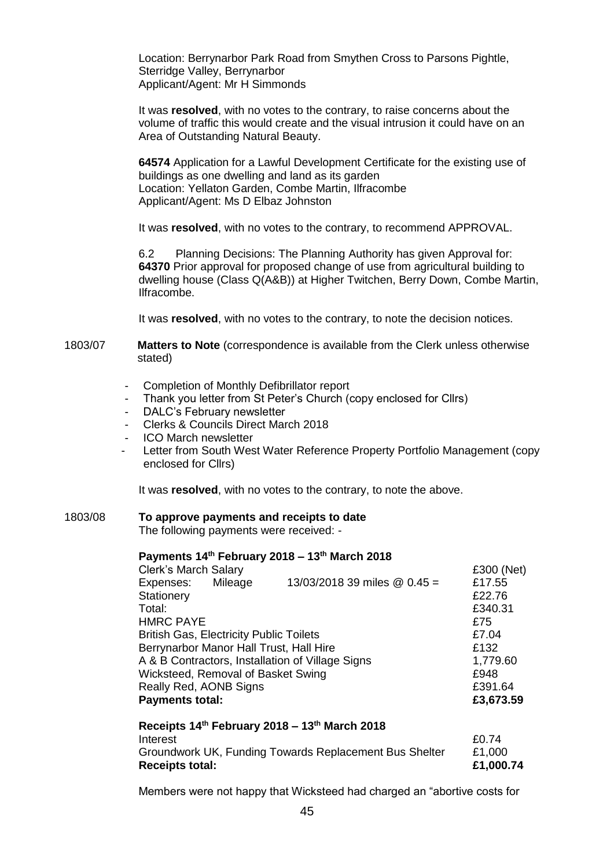Location: Berrynarbor Park Road from Smythen Cross to Parsons Pightle, Sterridge Valley, Berrynarbor Applicant/Agent: Mr H Simmonds

It was **resolved**, with no votes to the contrary, to raise concerns about the volume of traffic this would create and the visual intrusion it could have on an Area of Outstanding Natural Beauty.

**64574** Application for a Lawful Development Certificate for the existing use of buildings as one dwelling and land as its garden Location: Yellaton Garden, Combe Martin, Ilfracombe Applicant/Agent: Ms D Elbaz Johnston

It was **resolved**, with no votes to the contrary, to recommend APPROVAL.

6.2 Planning Decisions: The Planning Authority has given Approval for: **64370** Prior approval for proposed change of use from agricultural building to dwelling house (Class Q(A&B)) at Higher Twitchen, Berry Down, Combe Martin, Ilfracombe.

It was **resolved**, with no votes to the contrary, to note the decision notices.

1803/07 **Matters to Note** (correspondence is available from the Clerk unless otherwise stated)

- Completion of Monthly Defibrillator report
- Thank you letter from St Peter's Church (copy enclosed for Cllrs)
- DALC's February newsletter
- Clerks & Councils Direct March 2018
- ICO March newsletter
- Letter from South West Water Reference Property Portfolio Management (copy) enclosed for Cllrs)

It was **resolved**, with no votes to the contrary, to note the above.

## 1803/08 **To approve payments and receipts to date**

The following payments were received: -

#### **Payments 14th February 2018 – 13th March 2018**

| <b>Clerk's March Salary</b>                      |          |                                | £300 (Net) |
|--------------------------------------------------|----------|--------------------------------|------------|
| Expenses:                                        | Mileage  | 13/03/2018 39 miles $@$ 0.45 = | £17.55     |
| <b>Stationery</b>                                |          |                                | £22.76     |
| Total:                                           |          |                                | £340.31    |
| <b>HMRC PAYE</b>                                 |          |                                | £75        |
| <b>British Gas, Electricity Public Toilets</b>   |          |                                | £7.04      |
| Berrynarbor Manor Hall Trust, Hall Hire          |          |                                | £132       |
| A & B Contractors, Installation of Village Signs | 1,779.60 |                                |            |
| Wicksteed, Removal of Basket Swing               |          |                                | £948       |
| Really Red, AONB Signs                           |          |                                | £391.64    |
| <b>Payments total:</b>                           |          |                                | £3,673.59  |

| Receipts 14th February 2018 – 13th March 2018          |           |
|--------------------------------------------------------|-----------|
| Interest                                               | £0.74     |
| Groundwork UK, Funding Towards Replacement Bus Shelter | £1.000    |
| <b>Receipts total:</b>                                 | £1,000.74 |

Members were not happy that Wicksteed had charged an "abortive costs for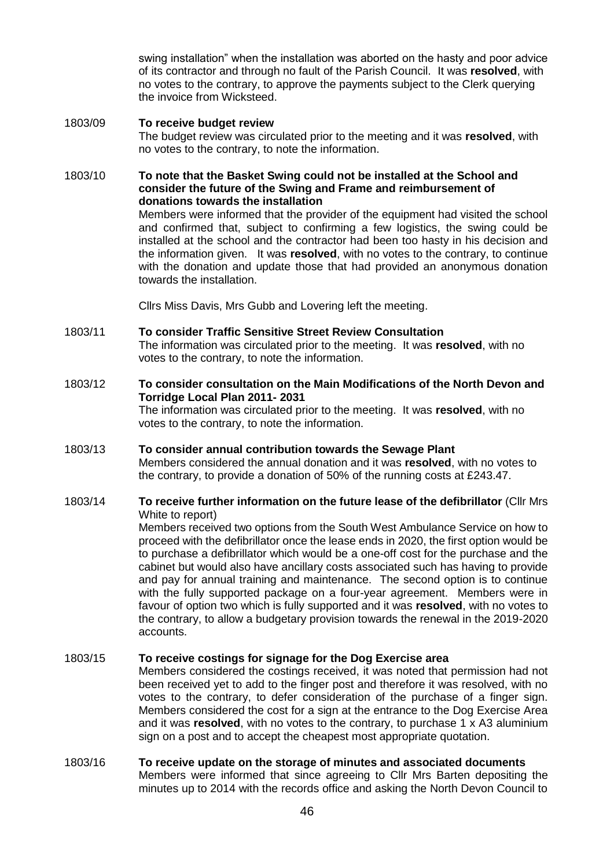swing installation" when the installation was aborted on the hasty and poor advice of its contractor and through no fault of the Parish Council. It was **resolved**, with no votes to the contrary, to approve the payments subject to the Clerk querying the invoice from Wicksteed.

# 1803/09 **To receive budget review** The budget review was circulated prior to the meeting and it was **resolved**, with no votes to the contrary, to note the information.

# 1803/10 **To note that the Basket Swing could not be installed at the School and consider the future of the Swing and Frame and reimbursement of donations towards the installation**

Members were informed that the provider of the equipment had visited the school and confirmed that, subject to confirming a few logistics, the swing could be installed at the school and the contractor had been too hasty in his decision and the information given. It was **resolved**, with no votes to the contrary, to continue with the donation and update those that had provided an anonymous donation towards the installation.

Cllrs Miss Davis, Mrs Gubb and Lovering left the meeting.

# 1803/11 **To consider Traffic Sensitive Street Review Consultation**

The information was circulated prior to the meeting. It was **resolved**, with no votes to the contrary, to note the information.

# 1803/12 **To consider consultation on the Main Modifications of the North Devon and Torridge Local Plan 2011- 2031**

The information was circulated prior to the meeting. It was **resolved**, with no votes to the contrary, to note the information.

# 1803/13 **To consider annual contribution towards the Sewage Plant** Members considered the annual donation and it was **resolved**, with no votes to the contrary, to provide a donation of 50% of the running costs at £243.47.

# 1803/14 **To receive further information on the future lease of the defibrillator** (Cllr Mrs White to report)

Members received two options from the South West Ambulance Service on how to proceed with the defibrillator once the lease ends in 2020, the first option would be to purchase a defibrillator which would be a one-off cost for the purchase and the cabinet but would also have ancillary costs associated such has having to provide and pay for annual training and maintenance. The second option is to continue with the fully supported package on a four-year agreement. Members were in favour of option two which is fully supported and it was **resolved**, with no votes to the contrary, to allow a budgetary provision towards the renewal in the 2019-2020 accounts.

# 1803/15 **To receive costings for signage for the Dog Exercise area**

Members considered the costings received, it was noted that permission had not been received yet to add to the finger post and therefore it was resolved, with no votes to the contrary, to defer consideration of the purchase of a finger sign. Members considered the cost for a sign at the entrance to the Dog Exercise Area and it was **resolved**, with no votes to the contrary, to purchase 1 x A3 aluminium sign on a post and to accept the cheapest most appropriate quotation.

# 1803/16 **To receive update on the storage of minutes and associated documents**

Members were informed that since agreeing to Cllr Mrs Barten depositing the minutes up to 2014 with the records office and asking the North Devon Council to